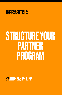

# STRUCTURE YOUR PARTNER PROGRAM

**BY ANDREAS PHILIPP**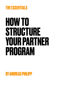## **THE ESSENTIALS**

# **HOW TO STRUCTURE YOUR PARTNER PROGRAM**

**BY ANDREAS PHILIPP**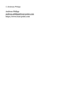© Andreas Philipp

Andreas Philipp [andreas.philipp@trust-point.com](mailto:andreas.philipp@trust-point.com) https://www.trust-point.com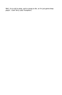Well, I'm to old to pimp, and to young to die, so I'm just gonna keep playin'. Clark Terry (Jazz Trumpeter)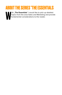## **ABOUT THE SERIES "THE ESSENTIALS**

W ith "The Essentials" I would like to pick up detailed topics from the area Sales and Marketing and provide fundamental considerations to the reader.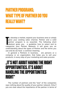# **PARTNER PROGRAMS; WHAT TYPE OF PARTNER DO YOU REALLY WANT?**

**The categorize your stategorize your Partner** and a solid partner program is es essential. The following short abstract gives you an guideline how to select and to categorize your Partner Network. It will gives you an o develop a market, expand your business area or simply grow your existing sales channel, Partner and a solid partner program is es essential. The following short abstract gives you a guideline how to select and to understanding about the types of Partner and the terms you use and do we have a common meaning.

In general a Partners in business, are persons or a company or an organization, that helps you to sell your products, in every step of your marketing and sales process

#### **"IT'S NOT ABOUT HAVING THE RIGHT OPPORTUNITIES. IT'S ABOUT HANDLING THE OPPORTUNITIES RIGHT"**

The number of partners and the "size" of the companies says nothing about the quality of your partner network. Only if you are clear about the importance of the partner in terms of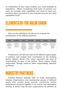its contribution to your value creation, you could evaluate its importance. When considering what types of partners you want, do consider what capabilities you need to meet your business plans and where in your business process you want capabilities to fit?

### **ELEMENTS OF THE VALUE CHAIN**

Here are the definitions we will use to evaluate the contributions of the different partners.

| Leads                                                      | <b>Qualified</b>                                         | <b>Sales</b>                                                                             | <b>Customer</b>                                                                  | <b>Delivery</b>                                                                   | <b>Support</b>                     | <b>Product</b>                                                           |
|------------------------------------------------------------|----------------------------------------------------------|------------------------------------------------------------------------------------------|----------------------------------------------------------------------------------|-----------------------------------------------------------------------------------|------------------------------------|--------------------------------------------------------------------------|
| Gettina<br>engagement<br>and interest<br>form<br>prospects | Qualifying<br>that there is a<br>business<br>opportunity | Present.<br>Demo and<br>generate<br>Proposals for<br>your Offering<br>Close the<br>Deal! | Management<br>of Customers<br>and do<br>upsellng, new<br>product<br>introduction | Professional<br>Service to<br>implement<br>and technical<br>and business<br>wise. | Customer<br>Support level<br>$1+2$ | provide active<br>Product input.<br>feedback.<br>features.<br>directions |

Furthermore, we will now look at the different typical types of partners and analyze their contribution to the building blocks defined above. The colors represent the level of responsibility by type of the partner. Green means clearly responsible, Orange could be taken responsibility, depends on Partner.

#### **INDUSTRY PARTNERS**

Industry Partners typically refer to Trade Associations, Industry Organizations and membership groups of different types who usually bring specific companies and/or professional members together in for events and information sharing. A vendor may list such organizations as partners as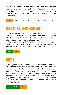they may be members and active within the organizations. This type of partner is typically over rated and usually are a marketing communications partner for shared content or sponsorship and not a proactive sales partner, thus the Orange color on Leads.

| Leads | Qualified | Sales | Customer   Delivery   Support |  |  | Product |
|-------|-----------|-------|-------------------------------|--|--|---------|
|-------|-----------|-------|-------------------------------|--|--|---------|

#### **AFFILIATES, NEWS CHANNEL**

Usually linked to web-based news portal, news channels, and affiliates may divert web traffic from their site with an advertisement or highlighted text pointing to the vendor and referring to dedicated person in our organization.

These are a type of Referral partner. Online digital product vendors may also use the term of Joint Venture Partner, for pay-per-sale relationships, for resell or traffic referral.

| Leads | $\sim$ |  |  |  |  |  |
|-------|--------|--|--|--|--|--|
|-------|--------|--|--|--|--|--|

#### **AGENT**

An Agent is responsible for the sale, winning the customer, but doesn't own the customer contract. They may be responsible for Customer Management and seeking further business. There are many types of sales Agents. Some Agents may have a single large customer and work with a number of vendors into this single customer. Others Agents may have very niche industry sector contacts and represent multiple vendors into their sector. Other Agents, may be 100% with a single vendor.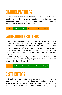#### **CHANNEL PARTNERS**

This is the minimum qualification for a reseller. This is a reseller who sells only our products and has the customer relationship. Installation or maintenance is optional and must be clarified on a case by case basis.



#### **VALUE ADDED RESELLERS**

VARs are Resellers that typically adds value through system delivery, implementation, system integration, application development, product training and localized customer support. VARs are typically System Integrators of some type; they are providing implementation of your solution but also integrating into the customers' existing systems.

There are System Integrator companies of many different sizes and specialties; Global, Regional and National, general focus and industry focused.



#### **DISTRIBUTORS**

Distributors work with many vendors and usually with a great number of resellers, small and large and of many types. Some examples of large global distributors are Computer 2000, Ingram Micro, Tech Data, Avnet. They typically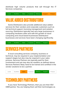distribute high volume products that sell through the IT Services companies.



#### **VALUE ADDED DISTRIBUTORS**

Some Distributors also provide additional value added services for their vendors and corporate customers such as full technical support, licensing management and solution sourcing. Distributors typically had very large businesses in computing hardware sales and with the growth of cloud computing and cloud based businesses Distributors' businesses and services have been changing significantly.

**SERVICES PARTNERS** Leads Qualified Sales Customer Delivery Support Product

A local consulting services company, business or technical, may be required in your implementation and support stages but also may be required in your sales process. Services Partners are typically paid for their involvement and yet may also be resellers as defined above. Services Partners likely need to be trained and certified in the vendor solutions to be a partner.

| Leads | Qualified | <b>Sales</b> | Customer | <b>Delivery</b> | Support | Product |
|-------|-----------|--------------|----------|-----------------|---------|---------|
|       |           |              |          |                 |         |         |
|       |           |              |          |                 |         |         |

### **TECHNOLOGY PARTNERS**

If you have Technology Partners, then you are their ISV/ OEM partner. You are helping them sell their technologies as